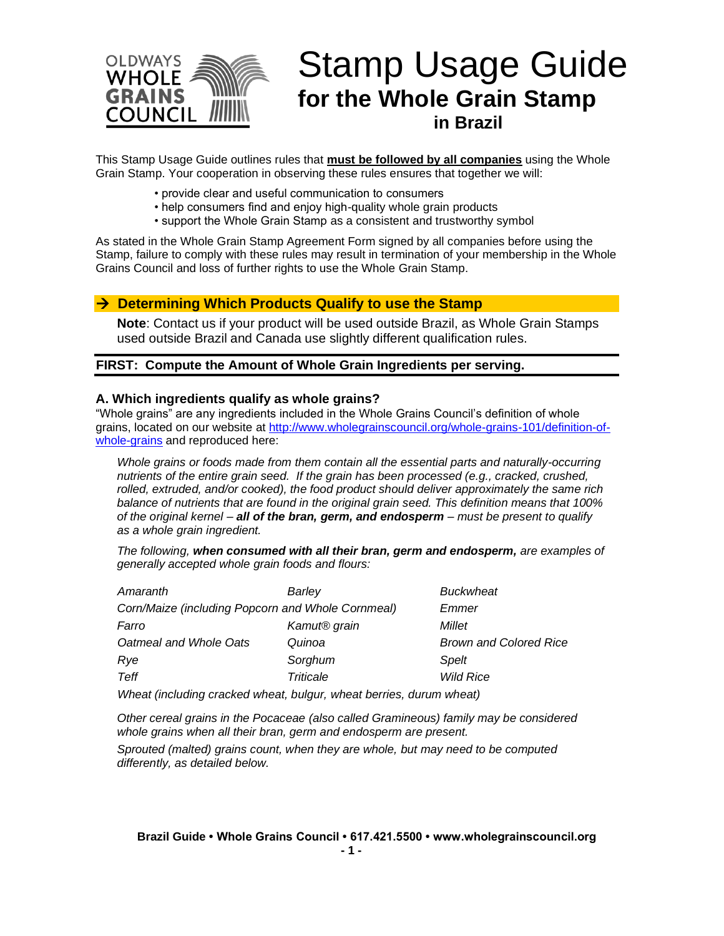

# Stamp Usage Guide **for the Whole Grain Stamp in Brazil**

This Stamp Usage Guide outlines rules that **must be followed by all companies** using the Whole Grain Stamp. Your cooperation in observing these rules ensures that together we will:

- provide clear and useful communication to consumers
- help consumers find and enjoy high-quality whole grain products
- support the Whole Grain Stamp as a consistent and trustworthy symbol

As stated in the Whole Grain Stamp Agreement Form signed by all companies before using the Stamp, failure to comply with these rules may result in termination of your membership in the Whole Grains Council and loss of further rights to use the Whole Grain Stamp.

#### → **Determining Which Products Qualify to use the Stamp**

**Note**: Contact us if your product will be used outside Brazil, as Whole Grain Stamps used outside Brazil and Canada use slightly different qualification rules.

#### **FIRST: Compute the Amount of Whole Grain Ingredients per serving.**

#### **A. Which ingredients qualify as whole grains?**

"Whole grains" are any ingredients included in the Whole Grains Council's definition of whole grains, located on our website at [http://www.wholegrainscouncil.org/whole-grains-101/definition-of](http://www.wholegrainscouncil.org/whole-grains-101/definition-of-whole-grains)[whole-grains](http://www.wholegrainscouncil.org/whole-grains-101/definition-of-whole-grains) and reproduced here:

*Whole grains or foods made from them contain all the essential parts and naturally-occurring nutrients of the entire grain seed. If the grain has been processed (e.g., cracked, crushed, rolled, extruded, and/or cooked), the food product should deliver approximately the same rich balance of nutrients that are found in the original grain seed. This definition means that 100% of the original kernel – all of the bran, germ, and endosperm – must be present to qualify as a whole grain ingredient.*

*The following, when consumed with all their bran, germ and endosperm, are examples of generally accepted whole grain foods and flours:* 

| Amaranth                                                                         | Barley                   | <b>Buckwheat</b>              |
|----------------------------------------------------------------------------------|--------------------------|-------------------------------|
| Corn/Maize (including Popcorn and Whole Cornmeal)                                |                          | Emmer                         |
| Farro                                                                            | Kamut <sup>®</sup> grain | Millet                        |
| Oatmeal and Whole Oats                                                           | Quinoa                   | <b>Brown and Colored Rice</b> |
| Rye                                                                              | Sorghum                  | Spelt                         |
| Teff                                                                             | Triticale                | <b>Wild Rice</b>              |
| <i><u>Mboat (including cracked wheat bulgur, wheat berries, durum wheat)</u></i> |                          |                               |

*Wheat (including cracked wheat, bulgur, wheat berries, durum wheat)* 

*Other cereal grains in the Pocaceae (also called Gramineous) family may be considered whole grains when all their bran, germ and endosperm are present.*

*Sprouted (malted) grains count, when they are whole, but may need to be computed differently, as detailed below.*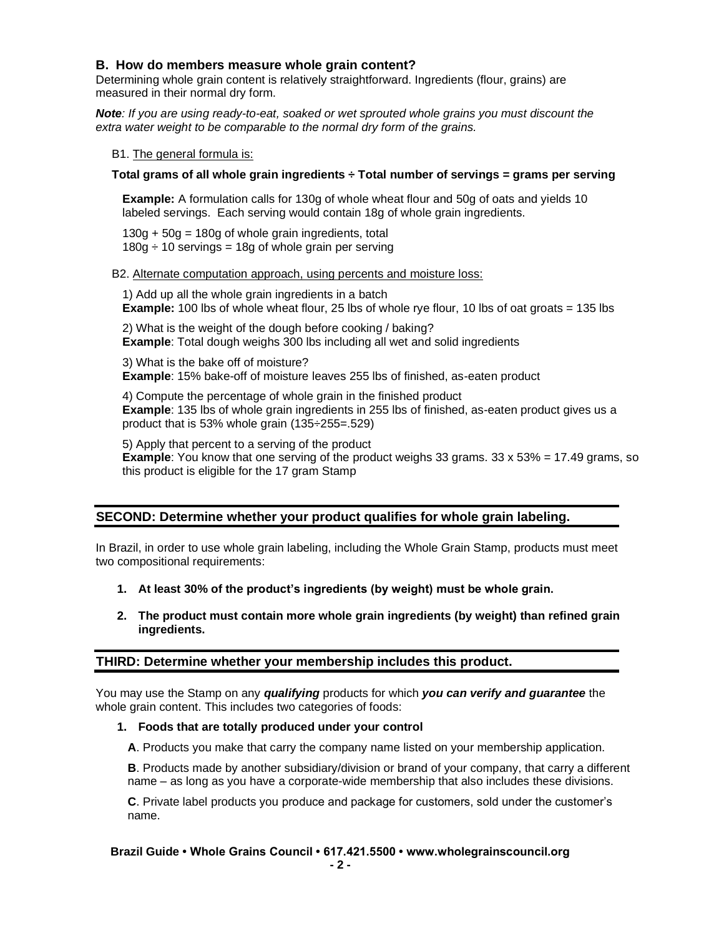## **B. How do members measure whole grain content?**

Determining whole grain content is relatively straightforward. Ingredients (flour, grains) are measured in their normal dry form.

*Note: If you are using ready-to-eat, soaked or wet sprouted whole grains you must discount the extra water weight to be comparable to the normal dry form of the grains.*

B1. The general formula is:

#### **Total grams of all whole grain ingredients ÷ Total number of servings = grams per serving**

**Example:** A formulation calls for 130g of whole wheat flour and 50g of oats and yields 10 labeled servings. Each serving would contain 18g of whole grain ingredients.

 $130g + 50g = 180g$  of whole grain ingredients, total  $180g \div 10$  servings = 18g of whole grain per serving

#### B2. Alternate computation approach, using percents and moisture loss:

1) Add up all the whole grain ingredients in a batch **Example:** 100 lbs of whole wheat flour, 25 lbs of whole rye flour, 10 lbs of oat groats = 135 lbs

2) What is the weight of the dough before cooking / baking? **Example**: Total dough weighs 300 lbs including all wet and solid ingredients

3) What is the bake off of moisture? **Example**: 15% bake-off of moisture leaves 255 lbs of finished, as-eaten product

4) Compute the percentage of whole grain in the finished product **Example**: 135 lbs of whole grain ingredients in 255 lbs of finished, as-eaten product gives us a product that is 53% whole grain (135÷255=.529)

5) Apply that percent to a serving of the product **Example**: You know that one serving of the product weighs 33 grams. 33 x 53% = 17.49 grams, so this product is eligible for the 17 gram Stamp

### **SECOND: Determine whether your product qualifies for whole grain labeling.**

In Brazil, in order to use whole grain labeling, including the Whole Grain Stamp, products must meet two compositional requirements:

- **1. At least 30% of the product's ingredients (by weight) must be whole grain.**
- **2. The product must contain more whole grain ingredients (by weight) than refined grain ingredients.**

### **THIRD: Determine whether your membership includes this product.**

You may use the Stamp on any *qualifying* products for which *you can verify and guarantee* the whole grain content. This includes two categories of foods:

#### **1. Foods that are totally produced under your control**

**A**. Products you make that carry the company name listed on your membership application.

**B**. Products made by another subsidiary/division or brand of your company, that carry a different name – as long as you have a corporate-wide membership that also includes these divisions.

**C**. Private label products you produce and package for customers, sold under the customer's name.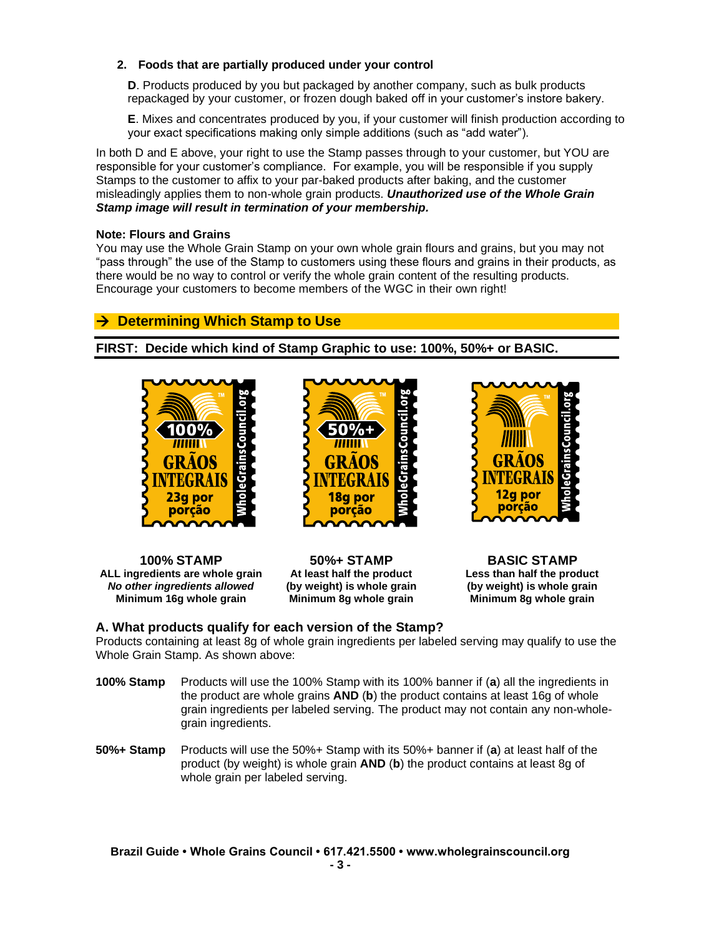## **2. Foods that are partially produced under your control**

**D**. Products produced by you but packaged by another company, such as bulk products repackaged by your customer, or frozen dough baked off in your customer's instore bakery.

**E**. Mixes and concentrates produced by you, if your customer will finish production according to your exact specifications making only simple additions (such as "add water").

In both D and E above, your right to use the Stamp passes through to your customer, but YOU are responsible for your customer's compliance. For example, you will be responsible if you supply Stamps to the customer to affix to your par-baked products after baking, and the customer misleadingly applies them to non-whole grain products. *Unauthorized use of the Whole Grain Stamp image will result in termination of your membership.*

#### **Note: Flours and Grains**

You may use the Whole Grain Stamp on your own whole grain flours and grains, but you may not "pass through" the use of the Stamp to customers using these flours and grains in their products, as there would be no way to control or verify the whole grain content of the resulting products. Encourage your customers to become members of the WGC in their own right!

# → **Determining Which Stamp to Use**

**FIRST: Decide which kind of Stamp Graphic to use: 100%, 50%+ or BASIC.**





**ALL ingredients are whole grain At least half the product Less than half the product** *No other ingredients allowed* **(by weight) is whole grain (by weight) is whole grain Minimum 16g whole grain Minimum 8g whole grain Minimum 8g whole grain**

**100% STAMP 50%+ STAMP BASIC STAMP**



### **A. What products qualify for each version of the Stamp?**

Products containing at least 8g of whole grain ingredients per labeled serving may qualify to use the Whole Grain Stamp. As shown above:

- **100% Stamp** Products will use the 100% Stamp with its 100% banner if (**a**) all the ingredients in the product are whole grains **AND** (**b**) the product contains at least 16g of whole grain ingredients per labeled serving. The product may not contain any non-wholegrain ingredients.
- **50%+ Stamp** Products will use the 50%+ Stamp with its 50%+ banner if (**a**) at least half of the product (by weight) is whole grain **AND** (**b**) the product contains at least 8g of whole grain per labeled serving.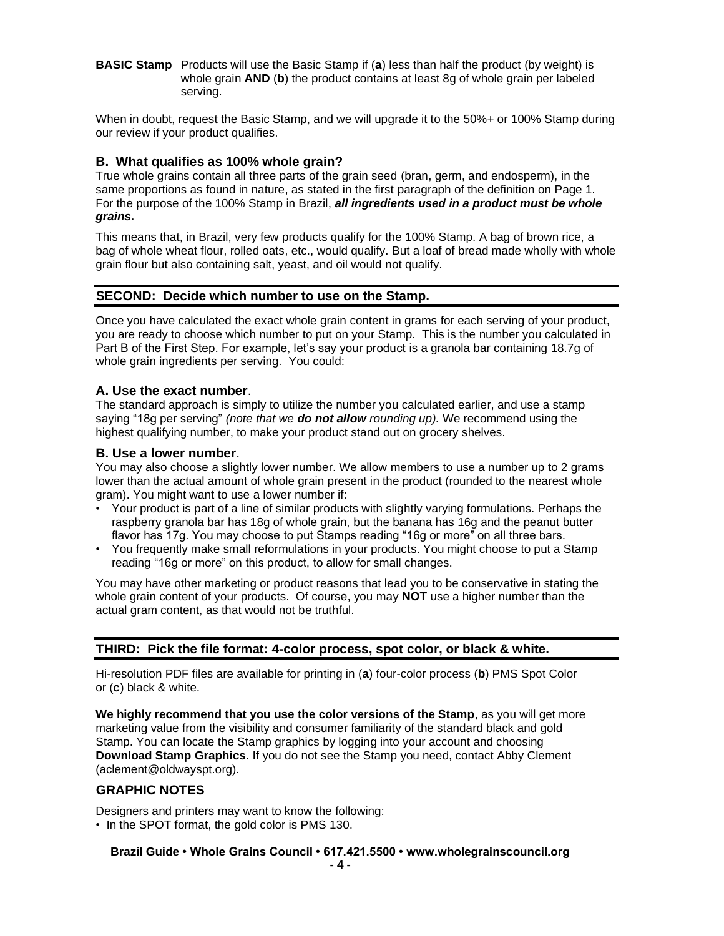**BASIC Stamp** Products will use the Basic Stamp if (**a**) less than half the product (by weight) is whole grain **AND** (**b**) the product contains at least 8g of whole grain per labeled serving.

When in doubt, request the Basic Stamp, and we will upgrade it to the 50%+ or 100% Stamp during our review if your product qualifies.

## **B. What qualifies as 100% whole grain?**

True whole grains contain all three parts of the grain seed (bran, germ, and endosperm), in the same proportions as found in nature, as stated in the first paragraph of the definition on Page 1. For the purpose of the 100% Stamp in Brazil, *all ingredients used in a product must be whole grains***.**

This means that, in Brazil, very few products qualify for the 100% Stamp. A bag of brown rice, a bag of whole wheat flour, rolled oats, etc., would qualify. But a loaf of bread made wholly with whole grain flour but also containing salt, yeast, and oil would not qualify.

## **SECOND: Decide which number to use on the Stamp.**

Once you have calculated the exact whole grain content in grams for each serving of your product, you are ready to choose which number to put on your Stamp. This is the number you calculated in Part B of the First Step. For example, let's say your product is a granola bar containing 18.7g of whole grain ingredients per serving. You could:

### **A. Use the exact number**.

The standard approach is simply to utilize the number you calculated earlier, and use a stamp saying "18g per serving" *(note that we do not allow rounding up).* We recommend using the highest qualifying number, to make your product stand out on grocery shelves.

### **B. Use a lower number**.

You may also choose a slightly lower number. We allow members to use a number up to 2 grams lower than the actual amount of whole grain present in the product (rounded to the nearest whole gram). You might want to use a lower number if:

- Your product is part of a line of similar products with slightly varying formulations. Perhaps the raspberry granola bar has 18g of whole grain, but the banana has 16g and the peanut butter flavor has 17g. You may choose to put Stamps reading "16g or more" on all three bars.
- You frequently make small reformulations in your products. You might choose to put a Stamp reading "16g or more" on this product, to allow for small changes.

You may have other marketing or product reasons that lead you to be conservative in stating the whole grain content of your products. Of course, you may **NOT** use a higher number than the actual gram content, as that would not be truthful.

# **THIRD: Pick the file format: 4-color process, spot color, or black & white.**

Hi-resolution PDF files are available for printing in (**a**) four-color process (**b**) PMS Spot Color or (**c**) black & white.

**We highly recommend that you use the color versions of the Stamp**, as you will get more marketing value from the visibility and consumer familiarity of the standard black and gold Stamp. You can locate the Stamp graphics by logging into your account and choosing **Download Stamp Graphics**. If you do not see the Stamp you need, contact Abby Clement (aclement@oldwayspt.org).

### **GRAPHIC NOTES**

Designers and printers may want to know the following:

• In the SPOT format, the gold color is PMS 130.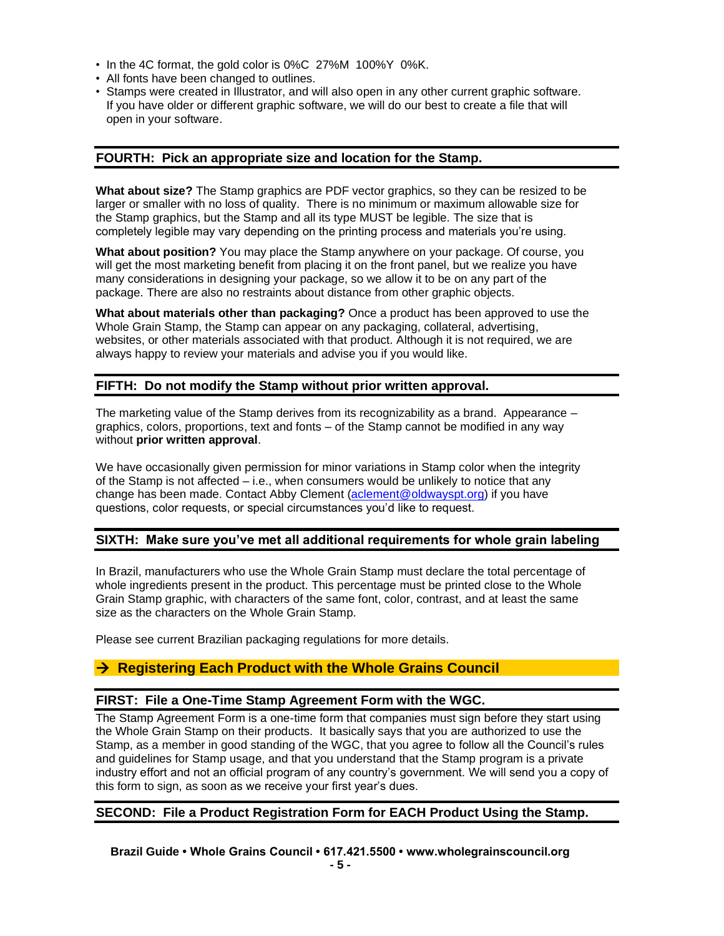- In the 4C format, the gold color is 0%C 27%M 100%Y 0%K.
- All fonts have been changed to outlines.
- Stamps were created in Illustrator, and will also open in any other current graphic software. If you have older or different graphic software, we will do our best to create a file that will open in your software.

#### **FOURTH: Pick an appropriate size and location for the Stamp.**

**What about size?** The Stamp graphics are PDF vector graphics, so they can be resized to be larger or smaller with no loss of quality. There is no minimum or maximum allowable size for the Stamp graphics, but the Stamp and all its type MUST be legible. The size that is completely legible may vary depending on the printing process and materials you're using.

**What about position?** You may place the Stamp anywhere on your package. Of course, you will get the most marketing benefit from placing it on the front panel, but we realize you have many considerations in designing your package, so we allow it to be on any part of the package. There are also no restraints about distance from other graphic objects.

**What about materials other than packaging?** Once a product has been approved to use the Whole Grain Stamp, the Stamp can appear on any packaging, collateral, advertising, websites, or other materials associated with that product. Although it is not required, we are always happy to review your materials and advise you if you would like.

## **FIFTH: Do not modify the Stamp without prior written approval.**

The marketing value of the Stamp derives from its recognizability as a brand. Appearance – graphics, colors, proportions, text and fonts – of the Stamp cannot be modified in any way without **prior written approval**.

We have occasionally given permission for minor variations in Stamp color when the integrity of the Stamp is not affected – i.e., when consumers would be unlikely to notice that any change has been made. Contact Abby Clement [\(aclement@oldwayspt.org\)](mailto:aclement@oldwayspt.org) if you have questions, color requests, or special circumstances you'd like to request.

### **SIXTH: Make sure you've met all additional requirements for whole grain labeling**

In Brazil, manufacturers who use the Whole Grain Stamp must declare the total percentage of whole ingredients present in the product. This percentage must be printed close to the Whole Grain Stamp graphic, with characters of the same font, color, contrast, and at least the same size as the characters on the Whole Grain Stamp.

Please see current Brazilian packaging regulations for more details.

# → **Registering Each Product with the Whole Grains Council**

### **FIRST: File a One-Time Stamp Agreement Form with the WGC.**

The Stamp Agreement Form is a one-time form that companies must sign before they start using the Whole Grain Stamp on their products. It basically says that you are authorized to use the Stamp, as a member in good standing of the WGC, that you agree to follow all the Council's rules and guidelines for Stamp usage, and that you understand that the Stamp program is a private industry effort and not an official program of any country's government. We will send you a copy of this form to sign, as soon as we receive your first year's dues.

### **SECOND: File a Product Registration Form for EACH Product Using the Stamp.**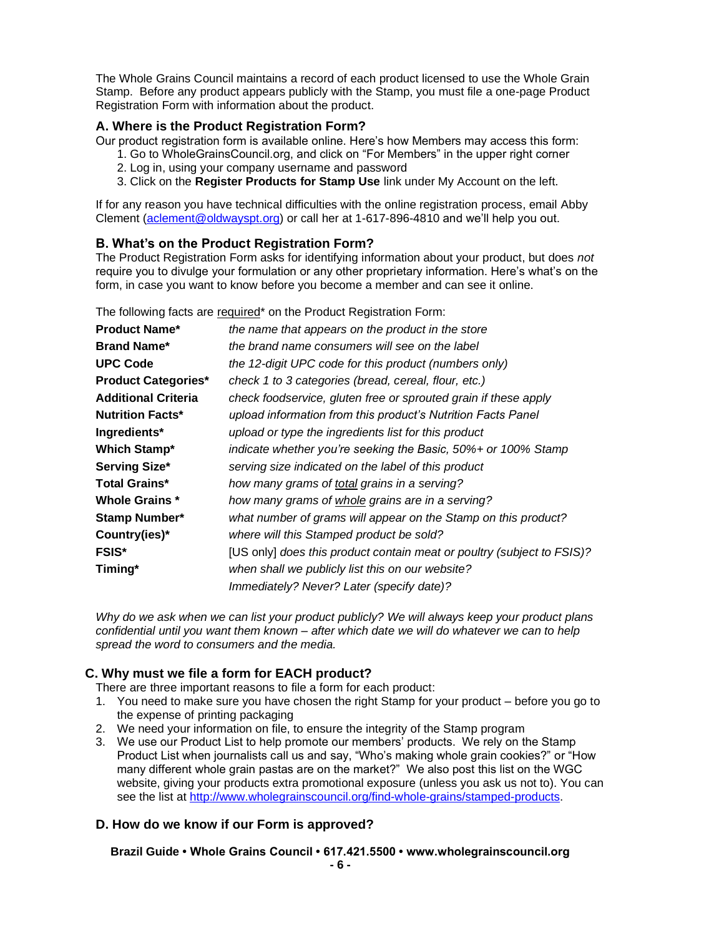The Whole Grains Council maintains a record of each product licensed to use the Whole Grain Stamp. Before any product appears publicly with the Stamp, you must file a one-page Product Registration Form with information about the product.

## **A. Where is the Product Registration Form?**

Our product registration form is available online. Here's how Members may access this form:

- 1. Go to WholeGrainsCouncil.org, and click on "For Members" in the upper right corner
- 2. Log in, using your company username and password
- 3. Click on the **Register Products for Stamp Use** link under My Account on the left.

If for any reason you have technical difficulties with the online registration process, email Abby Clement [\(aclement@oldwayspt.org\)](mailto:aclement@oldwayspt.org) or call her at 1-617-896-4810 and we'll help you out.

## **B. What's on the Product Registration Form?**

The Product Registration Form asks for identifying information about your product, but does *not* require you to divulge your formulation or any other proprietary information. Here's what's on the form, in case you want to know before you become a member and can see it online.

The following facts are required\* on the Product Registration Form:

| <b>Product Name*</b>       | the name that appears on the product in the store                      |
|----------------------------|------------------------------------------------------------------------|
| <b>Brand Name*</b>         | the brand name consumers will see on the label                         |
| <b>UPC Code</b>            | the 12-digit UPC code for this product (numbers only)                  |
| <b>Product Categories*</b> | check 1 to 3 categories (bread, cereal, flour, etc.)                   |
| <b>Additional Criteria</b> | check foodservice, gluten free or sprouted grain if these apply        |
| <b>Nutrition Facts*</b>    | upload information from this product's Nutrition Facts Panel           |
| Ingredients*               | upload or type the ingredients list for this product                   |
| Which Stamp*               | indicate whether you're seeking the Basic, 50%+ or 100% Stamp          |
| Serving Size*              | serving size indicated on the label of this product                    |
| <b>Total Grains*</b>       | how many grams of total grains in a serving?                           |
| <b>Whole Grains *</b>      | how many grams of whole grains are in a serving?                       |
| <b>Stamp Number*</b>       | what number of grams will appear on the Stamp on this product?         |
| Country(ies)*              | where will this Stamped product be sold?                               |
| <b>FSIS*</b>               | [US only] does this product contain meat or poultry (subject to FSIS)? |
| Timing*                    | when shall we publicly list this on our website?                       |
|                            | Immediately? Never? Later (specify date)?                              |

*Why do we ask when we can list your product publicly? We will always keep your product plans confidential until you want them known – after which date we will do whatever we can to help spread the word to consumers and the media.*

# **C. Why must we file a form for EACH product?**

There are three important reasons to file a form for each product:

- 1. You need to make sure you have chosen the right Stamp for your product before you go to the expense of printing packaging
- 2. We need your information on file, to ensure the integrity of the Stamp program
- 3. We use our Product List to help promote our members' products. We rely on the Stamp Product List when journalists call us and say, "Who's making whole grain cookies?" or "How many different whole grain pastas are on the market?" We also post this list on the WGC website, giving your products extra promotional exposure (unless you ask us not to). You can see the list at [http://www.wholegrainscouncil.org/find-whole-grains/stamped-products.](http://www.wholegrainscouncil.org/find-whole-grains/stamped-products)

# **D. How do we know if our Form is approved?**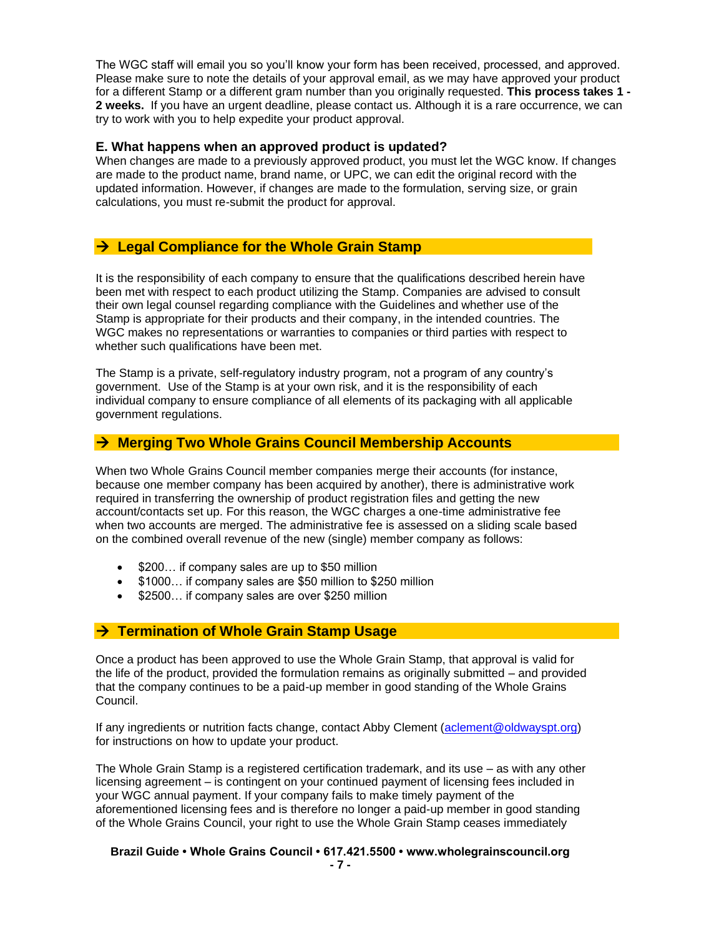The WGC staff will email you so you'll know your form has been received, processed, and approved. Please make sure to note the details of your approval email, as we may have approved your product for a different Stamp or a different gram number than you originally requested. **This process takes 1 - 2 weeks.** If you have an urgent deadline, please contact us. Although it is a rare occurrence, we can try to work with you to help expedite your product approval.

#### **E. What happens when an approved product is updated?**

When changes are made to a previously approved product, you must let the WGC know. If changes are made to the product name, brand name, or UPC, we can edit the original record with the updated information. However, if changes are made to the formulation, serving size, or grain calculations, you must re-submit the product for approval.

# → **Legal Compliance for the Whole Grain Stamp**

It is the responsibility of each company to ensure that the qualifications described herein have been met with respect to each product utilizing the Stamp. Companies are advised to consult their own legal counsel regarding compliance with the Guidelines and whether use of the Stamp is appropriate for their products and their company, in the intended countries. The WGC makes no representations or warranties to companies or third parties with respect to whether such qualifications have been met.

The Stamp is a private, self-regulatory industry program, not a program of any country's government. Use of the Stamp is at your own risk, and it is the responsibility of each individual company to ensure compliance of all elements of its packaging with all applicable government regulations.

# → **Merging Two Whole Grains Council Membership Accounts**

When two Whole Grains Council member companies merge their accounts (for instance, because one member company has been acquired by another), there is administrative work required in transferring the ownership of product registration files and getting the new account/contacts set up. For this reason, the WGC charges a one-time administrative fee when two accounts are merged. The administrative fee is assessed on a sliding scale based on the combined overall revenue of the new (single) member company as follows:

- \$200… if company sales are up to \$50 million
- \$1000… if company sales are \$50 million to \$250 million
- \$2500... if company sales are over \$250 million

# → **Termination of Whole Grain Stamp Usage**

Once a product has been approved to use the Whole Grain Stamp, that approval is valid for the life of the product, provided the formulation remains as originally submitted – and provided that the company continues to be a paid-up member in good standing of the Whole Grains Council.

If any ingredients or nutrition facts change, contact Abby Clement [\(aclement@oldwayspt.org\)](mailto:aclement@oldwayspt.org) for instructions on how to update your product.

The Whole Grain Stamp is a registered certification trademark, and its use – as with any other licensing agreement – is contingent on your continued payment of licensing fees included in your WGC annual payment. If your company fails to make timely payment of the aforementioned licensing fees and is therefore no longer a paid-up member in good standing of the Whole Grains Council, your right to use the Whole Grain Stamp ceases immediately